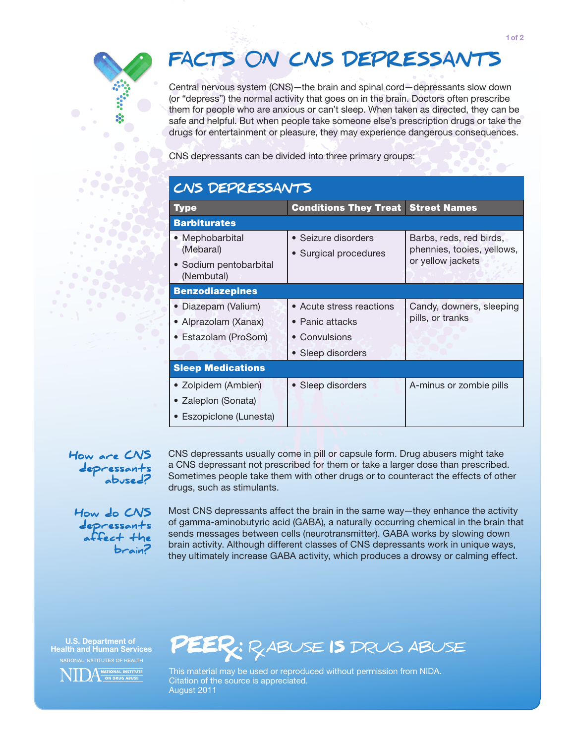## FACTS ON CNS DEPRESSANTS

Central nervous system (CNS)—the brain and spinal cord—depressants slow down (or "depress") the normal activity that goes on in the brain. Doctors often prescribe them for people who are anxious or can't sleep. When taken as directed, they can be safe and helpful. But when people take someone else's prescription drugs or take the drugs for entertainment or pleasure, they may experience dangerous consequences.

CNS depressants can be divided into three primary groups:

| CNS DEPRESSANTS                                        |                                              |                                                                            |
|--------------------------------------------------------|----------------------------------------------|----------------------------------------------------------------------------|
| <b>Type</b>                                            | <b>Conditions They Treat</b>                 | <b>Street Names</b>                                                        |
| <b>Barbiturates</b>                                    |                                              |                                                                            |
| • Mephobarbital<br>(Mebaral)<br>• Sodium pentobarbital | • Seizure disorders<br>• Surgical procedures | Barbs, reds, red birds,<br>phennies, tooies, yellows,<br>or yellow jackets |
| (Nembutal)                                             |                                              |                                                                            |
| <b>Benzodiazepines</b>                                 |                                              |                                                                            |
| Diazepam (Valium)<br>• Alprazolam (Xanax)              | • Acute stress reactions<br>• Panic attacks  | Candy, downers, sleeping<br>pills, or tranks                               |
| • Estazolam (ProSom)                                   | • Convulsions                                |                                                                            |
|                                                        | Sleep disorders                              |                                                                            |
| <b>Sleep Medications</b>                               |                                              |                                                                            |
| • Zolpidem (Ambien)                                    | • Sleep disorders                            | A-minus or zombie pills                                                    |
| • Zaleplon (Sonata)                                    |                                              |                                                                            |
| • Eszopiclone (Lunesta)                                |                                              |                                                                            |

How are CNS depressants abused? CNS depressants usually come in pill or capsule form. Drug abusers might take a CNS depressant not prescribed for them or take a larger dose than prescribed. Sometimes people take them with other drugs or to counteract the effects of other drugs, such as stimulants.

How do CNS depressants affect the brain?

Most CNS depressants affect the brain in the same way—they enhance the activity of gamma-aminobutyric acid (GABA), a naturally occurring chemical in the brain that sends messages between cells (neurotransmitter). GABA works by slowing down brain activity. Although different classes of CNS depressants work in unique ways, they ultimately increase GABA activity, which produces a drowsy or calming effect.

U.S. Department of Health and Human Services





This material may be used or reproduced without permission from NIDA. Citation of the source is appreciated. August 2011